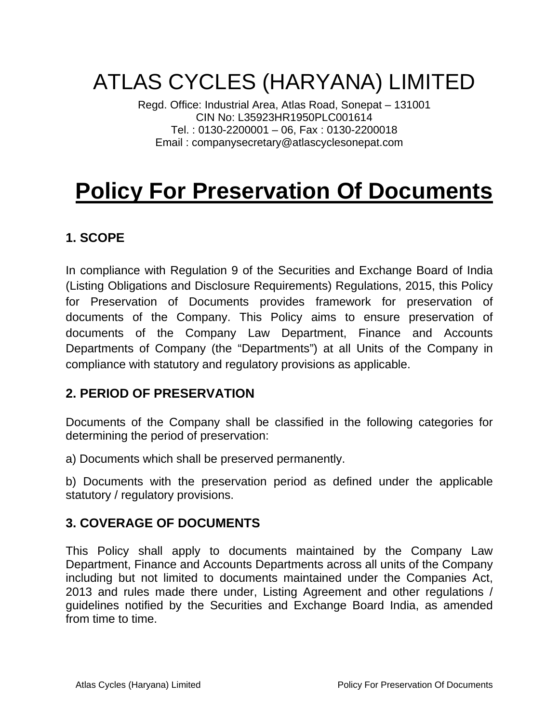# ATLAS CYCLES (HARYANA) LIMITED

Regd. Office: Industrial Area, Atlas Road, Sonepat – 131001 CIN No: L35923HR1950PLC001614 Tel. : 0130-2200001 – 06, Fax : 0130-2200018 Email : companysecretary@atlascyclesonepat.com

# **Policy For Preservation Of Documents**

# **1. SCOPE**

In compliance with Regulation 9 of the Securities and Exchange Board of India (Listing Obligations and Disclosure Requirements) Regulations, 2015, this Policy for Preservation of Documents provides framework for preservation of documents of the Company. This Policy aims to ensure preservation of documents of the Company Law Department, Finance and Accounts Departments of Company (the "Departments") at all Units of the Company in compliance with statutory and regulatory provisions as applicable.

## **2. PERIOD OF PRESERVATION**

Documents of the Company shall be classified in the following categories for determining the period of preservation:

a) Documents which shall be preserved permanently.

b) Documents with the preservation period as defined under the applicable statutory / regulatory provisions.

### **3. COVERAGE OF DOCUMENTS**

This Policy shall apply to documents maintained by the Company Law Department, Finance and Accounts Departments across all units of the Company including but not limited to documents maintained under the Companies Act, 2013 and rules made there under, Listing Agreement and other regulations / guidelines notified by the Securities and Exchange Board India, as amended from time to time.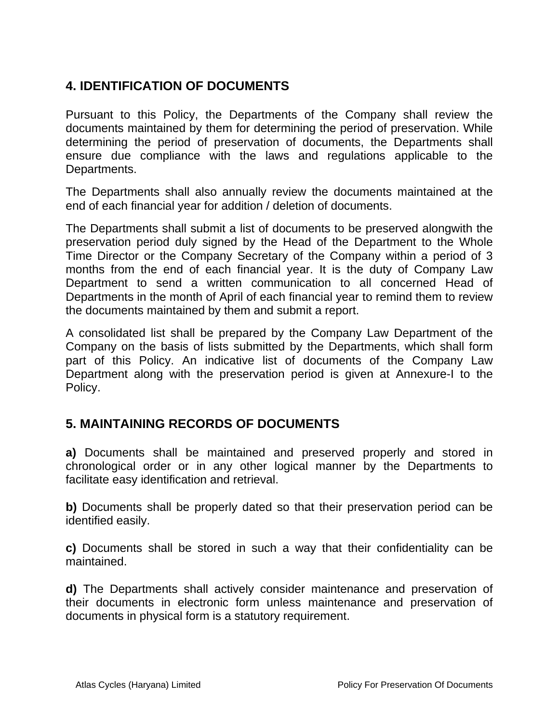## **4. IDENTIFICATION OF DOCUMENTS**

Pursuant to this Policy, the Departments of the Company shall review the documents maintained by them for determining the period of preservation. While determining the period of preservation of documents, the Departments shall ensure due compliance with the laws and regulations applicable to the Departments.

The Departments shall also annually review the documents maintained at the end of each financial year for addition / deletion of documents.

The Departments shall submit a list of documents to be preserved alongwith the preservation period duly signed by the Head of the Department to the Whole Time Director or the Company Secretary of the Company within a period of 3 months from the end of each financial year. It is the duty of Company Law Department to send a written communication to all concerned Head of Departments in the month of April of each financial year to remind them to review the documents maintained by them and submit a report.

A consolidated list shall be prepared by the Company Law Department of the Company on the basis of lists submitted by the Departments, which shall form part of this Policy. An indicative list of documents of the Company Law Department along with the preservation period is given at Annexure-I to the Policy.

### **5. MAINTAINING RECORDS OF DOCUMENTS**

**a)** Documents shall be maintained and preserved properly and stored in chronological order or in any other logical manner by the Departments to facilitate easy identification and retrieval.

**b)** Documents shall be properly dated so that their preservation period can be identified easily.

**c)** Documents shall be stored in such a way that their confidentiality can be maintained.

**d)** The Departments shall actively consider maintenance and preservation of their documents in electronic form unless maintenance and preservation of documents in physical form is a statutory requirement.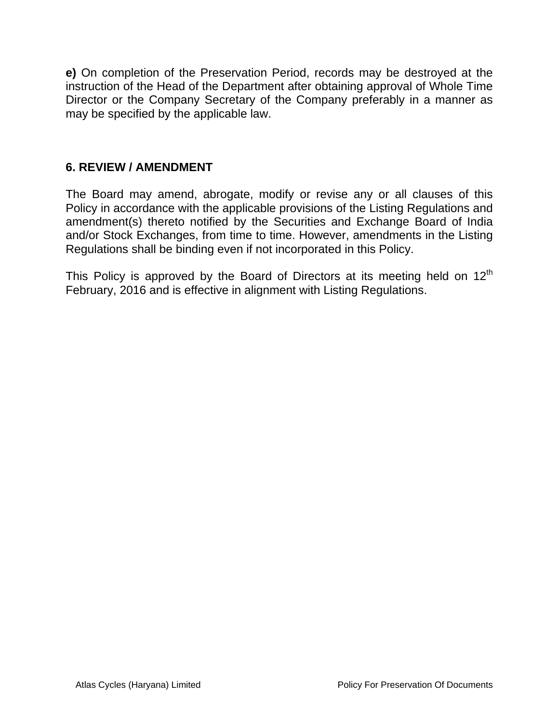**e)** On completion of the Preservation Period, records may be destroyed at the instruction of the Head of the Department after obtaining approval of Whole Time Director or the Company Secretary of the Company preferably in a manner as may be specified by the applicable law.

#### **6. REVIEW / AMENDMENT**

The Board may amend, abrogate, modify or revise any or all clauses of this Policy in accordance with the applicable provisions of the Listing Regulations and amendment(s) thereto notified by the Securities and Exchange Board of India and/or Stock Exchanges, from time to time. However, amendments in the Listing Regulations shall be binding even if not incorporated in this Policy.

This Policy is approved by the Board of Directors at its meeting held on  $12^{th}$ February, 2016 and is effective in alignment with Listing Regulations.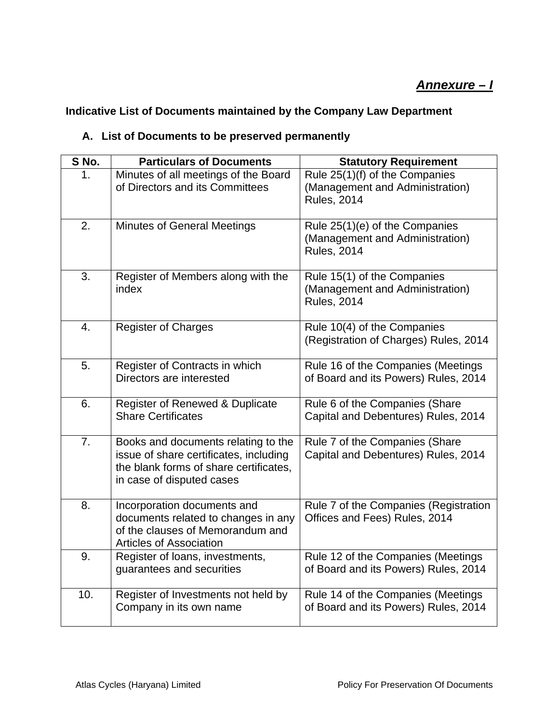#### **Indicative List of Documents maintained by the Company Law Department**

#### **A. List of Documents to be preserved permanently**

| S No. | <b>Particulars of Documents</b>                                                                                                                      | <b>Statutory Requirement</b>                                                            |
|-------|------------------------------------------------------------------------------------------------------------------------------------------------------|-----------------------------------------------------------------------------------------|
| 1.    | Minutes of all meetings of the Board<br>of Directors and its Committees                                                                              | Rule 25(1)(f) of the Companies<br>(Management and Administration)<br><b>Rules, 2014</b> |
| 2.    | <b>Minutes of General Meetings</b>                                                                                                                   | Rule 25(1)(e) of the Companies<br>(Management and Administration)<br><b>Rules, 2014</b> |
| 3.    | Register of Members along with the<br>index                                                                                                          | Rule 15(1) of the Companies<br>(Management and Administration)<br><b>Rules, 2014</b>    |
| 4.    | <b>Register of Charges</b>                                                                                                                           | Rule 10(4) of the Companies<br>(Registration of Charges) Rules, 2014                    |
| 5.    | Register of Contracts in which<br>Directors are interested                                                                                           | Rule 16 of the Companies (Meetings<br>of Board and its Powers) Rules, 2014              |
| 6.    | Register of Renewed & Duplicate<br><b>Share Certificates</b>                                                                                         | Rule 6 of the Companies (Share<br>Capital and Debentures) Rules, 2014                   |
| 7.    | Books and documents relating to the<br>issue of share certificates, including<br>the blank forms of share certificates,<br>in case of disputed cases | Rule 7 of the Companies (Share<br>Capital and Debentures) Rules, 2014                   |
| 8.    | Incorporation documents and<br>documents related to changes in any<br>of the clauses of Memorandum and<br><b>Articles of Association</b>             | Rule 7 of the Companies (Registration<br>Offices and Fees) Rules, 2014                  |
| 9.    | Register of loans, investments,<br>guarantees and securities                                                                                         | Rule 12 of the Companies (Meetings<br>of Board and its Powers) Rules, 2014              |
| 10.   | Register of Investments not held by<br>Company in its own name                                                                                       | Rule 14 of the Companies (Meetings<br>of Board and its Powers) Rules, 2014              |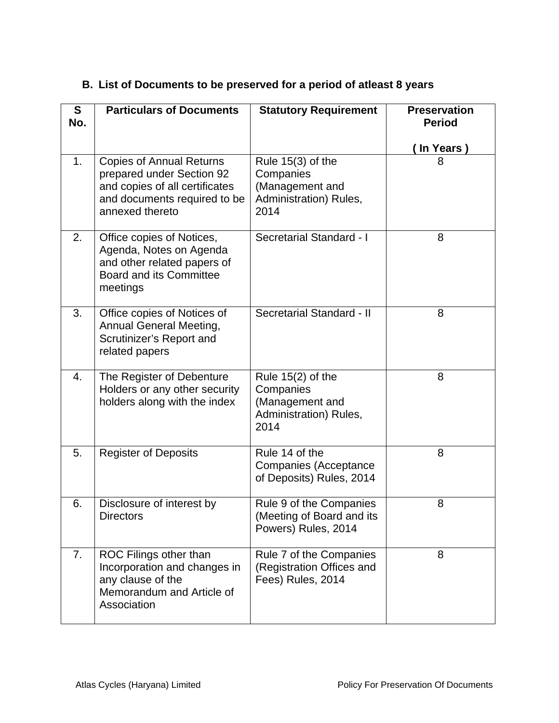| S<br>No. | <b>Particulars of Documents</b>                                                                                                                   | <b>Statutory Requirement</b>                                                          | <b>Preservation</b><br><b>Period</b> |
|----------|---------------------------------------------------------------------------------------------------------------------------------------------------|---------------------------------------------------------------------------------------|--------------------------------------|
| 1.       | <b>Copies of Annual Returns</b><br>prepared under Section 92<br>and copies of all certificates<br>and documents required to be<br>annexed thereto | Rule $15(3)$ of the<br>Companies<br>(Management and<br>Administration) Rules,<br>2014 | In Years)<br>8                       |
| 2.       | Office copies of Notices,<br>Agenda, Notes on Agenda<br>and other related papers of<br><b>Board and its Committee</b><br>meetings                 | Secretarial Standard - I                                                              | 8                                    |
| 3.       | Office copies of Notices of<br>Annual General Meeting,<br>Scrutinizer's Report and<br>related papers                                              | Secretarial Standard - II                                                             | 8                                    |
| 4.       | The Register of Debenture<br>Holders or any other security<br>holders along with the index                                                        | Rule $15(2)$ of the<br>Companies<br>(Management and<br>Administration) Rules,<br>2014 | 8                                    |
| 5.       | <b>Register of Deposits</b>                                                                                                                       | Rule 14 of the<br>Companies (Acceptance<br>of Deposits) Rules, 2014                   | 8                                    |
| 6.       | Disclosure of interest by<br><b>Directors</b>                                                                                                     | Rule 9 of the Companies<br>(Meeting of Board and its<br>Powers) Rules, 2014           | 8                                    |
| 7.       | ROC Filings other than<br>Incorporation and changes in<br>any clause of the<br>Memorandum and Article of<br>Association                           | Rule 7 of the Companies<br>(Registration Offices and<br>Fees) Rules, 2014             | 8                                    |

### **B. List of Documents to be preserved for a period of atleast 8 years**